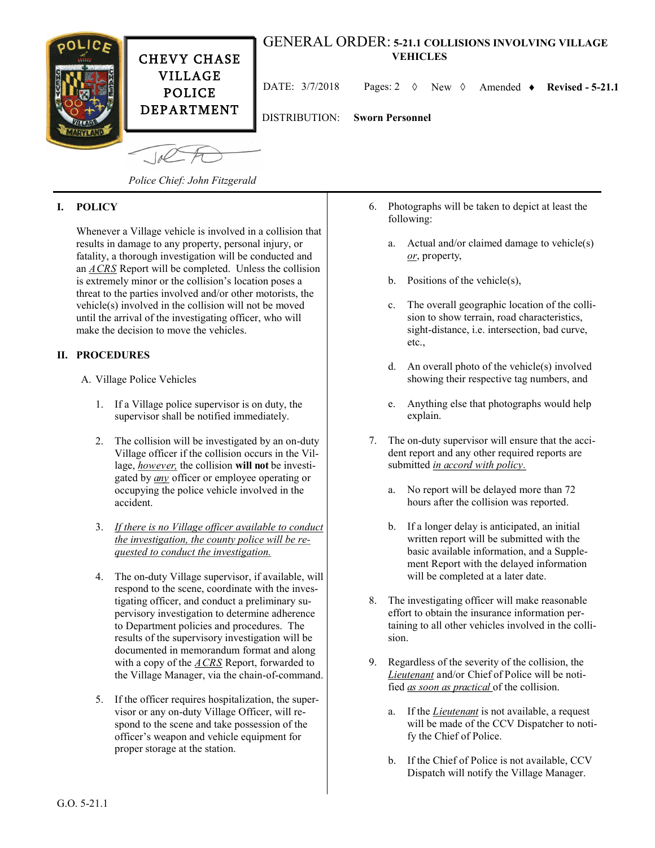

*Police Chief: John Fitzgerald*

## **I. POLICY**

Whenever a Village vehicle is involved in a collision that results in damage to any property, personal injury, or fatality, a thorough investigation will be conducted and an *ACRS* Report will be completed. Unless the collision is extremely minor or the collision's location poses a threat to the parties involved and/or other motorists, the vehicle(s) involved in the collision will not be moved until the arrival of the investigating officer, who will make the decision to move the vehicles.

## **II. PROCEDURES**

- A. Village Police Vehicles
	- 1. If a Village police supervisor is on duty, the supervisor shall be notified immediately.
	- 2. The collision will be investigated by an on-duty Village officer if the collision occurs in the Village, *however,* the collision **will not** be investigated by *any* officer or employee operating or occupying the police vehicle involved in the accident.
	- 3. *If there is no Village officer available to conduct the investigation, the county police will be requested to conduct the investigation.*
	- 4. The on-duty Village supervisor, if available, will respond to the scene, coordinate with the investigating officer, and conduct a preliminary supervisory investigation to determine adherence to Department policies and procedures. The results of the supervisory investigation will be documented in memorandum format and along with a copy of the *ACRS* Report, forwarded to the Village Manager, via the chain-of-command.
	- 5. If the officer requires hospitalization, the supervisor or any on-duty Village Officer, will respond to the scene and take possession of the officer's weapon and vehicle equipment for proper storage at the station.
- 6. Photographs will be taken to depict at least the following:
	- a. Actual and/or claimed damage to vehicle(s) *or*, property,
	- b. Positions of the vehicle(s),
	- c. The overall geographic location of the collision to show terrain, road characteristics, sight-distance, i.e. intersection, bad curve, etc.,
	- d. An overall photo of the vehicle(s) involved showing their respective tag numbers, and
	- e. Anything else that photographs would help explain.
- 7. The on-duty supervisor will ensure that the accident report and any other required reports are submitted *in accord with policy.*
	- a. No report will be delayed more than 72 hours after the collision was reported.
	- b. If a longer delay is anticipated, an initial written report will be submitted with the basic available information, and a Supplement Report with the delayed information will be completed at a later date.
- 8. The investigating officer will make reasonable effort to obtain the insurance information pertaining to all other vehicles involved in the collision.
- 9. Regardless of the severity of the collision, the *Lieutenant* and/or Chief of Police will be notified *as soon as practical* of the collision.
	- a. If the *Lieutenant* is not available, a request will be made of the CCV Dispatcher to notify the Chief of Police.
	- b. If the Chief of Police is not available, CCV Dispatch will notify the Village Manager.